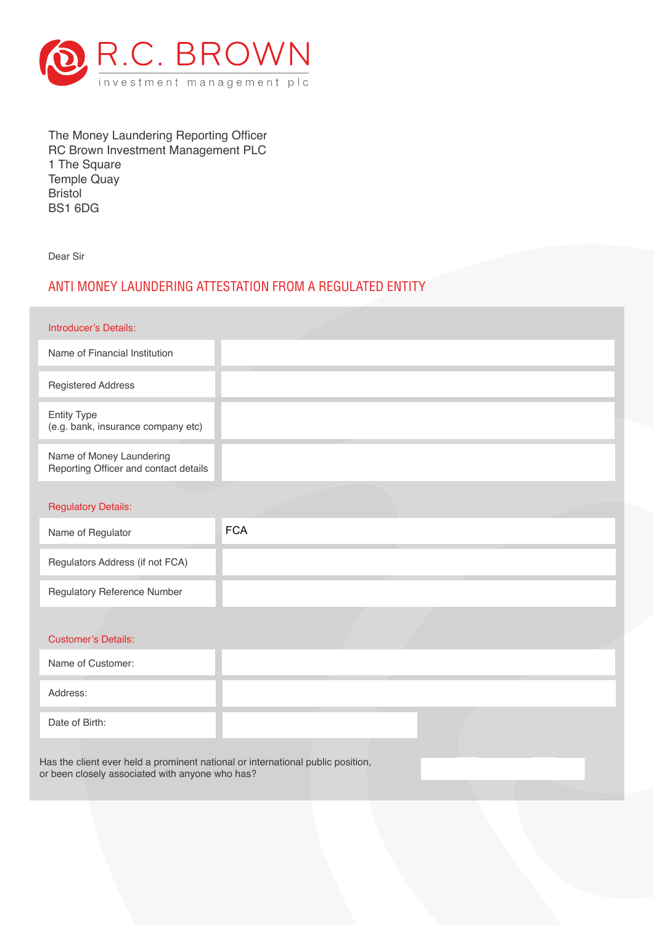

 The Money Laundering Reporting Officer RC Brown Investment Management PLC 1 The Square Temple Quay Bristol BS1 6DG

Dear Sir

## ANTI MONEY LAUNDERING ATTESTATION FROM A REGULATED ENTITY

| Introducer's Details:                                                                                                              |            |
|------------------------------------------------------------------------------------------------------------------------------------|------------|
| Name of Financial Institution                                                                                                      |            |
| <b>Registered Address</b>                                                                                                          |            |
| <b>Entity Type</b><br>(e.g. bank, insurance company etc)                                                                           |            |
| Name of Money Laundering<br>Reporting Officer and contact details                                                                  |            |
|                                                                                                                                    |            |
| <b>Regulatory Details:</b>                                                                                                         |            |
| Name of Regulator                                                                                                                  | <b>FCA</b> |
| Regulators Address (if not FCA)                                                                                                    |            |
| <b>Regulatory Reference Number</b>                                                                                                 |            |
|                                                                                                                                    |            |
| <b>Customer's Details:</b>                                                                                                         |            |
| Name of Customer:                                                                                                                  |            |
| Address:                                                                                                                           |            |
| Date of Birth:                                                                                                                     |            |
| Has the client ever held a prominent national or international public position,<br>or been closely associated with anyone who has? |            |